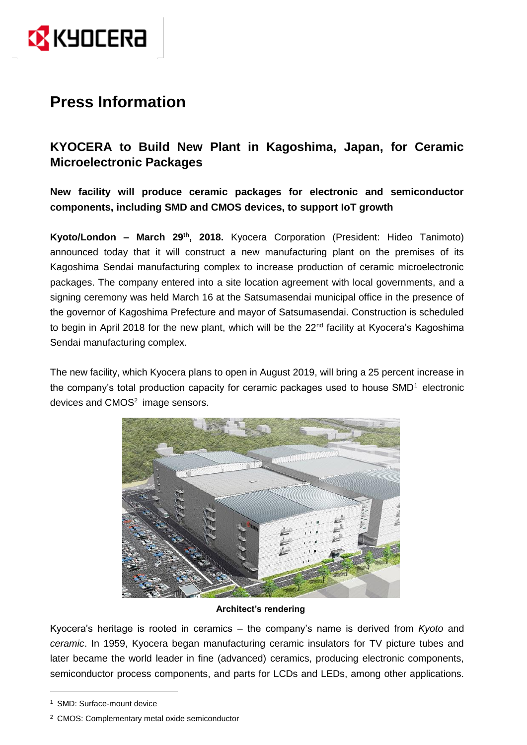

# **Press Information**

## **KYOCERA to Build New Plant in Kagoshima, Japan, for Ceramic Microelectronic Packages**

**New facility will produce ceramic packages for electronic and semiconductor components, including SMD and CMOS devices, to support IoT growth**

**Kyoto/London – March 29 th , 2018.** Kyocera Corporation (President: Hideo Tanimoto) announced today that it will construct a new manufacturing plant on the premises of its Kagoshima Sendai manufacturing complex to increase production of ceramic microelectronic packages. The company entered into a site location agreement with local governments, and a signing ceremony was held March 16 at the Satsumasendai municipal office in the presence of the governor of Kagoshima Prefecture and mayor of Satsumasendai. Construction is scheduled to begin in April 2018 for the new plant, which will be the 22<sup>nd</sup> facility at Kyocera's Kagoshima Sendai manufacturing complex.

The new facility, which Kyocera plans to open in August 2019, will bring a 25 percent increase in the company's total production capacity for ceramic packages used to house  $SMD<sup>1</sup>$  electronic devices and  $CMOS<sup>2</sup>$  image sensors.



### **Architect's rendering**

Kyocera's heritage is rooted in ceramics – the company's name is derived from *Kyoto* and *ceramic*. In 1959, Kyocera began manufacturing ceramic insulators for TV picture tubes and later became the world leader in fine (advanced) ceramics, producing electronic components, semiconductor process components, and parts for LCDs and LEDs, among other applications.

<u>.</u>

<sup>1</sup> SMD: Surface-mount device

<sup>2</sup> CMOS: Complementary metal oxide semiconductor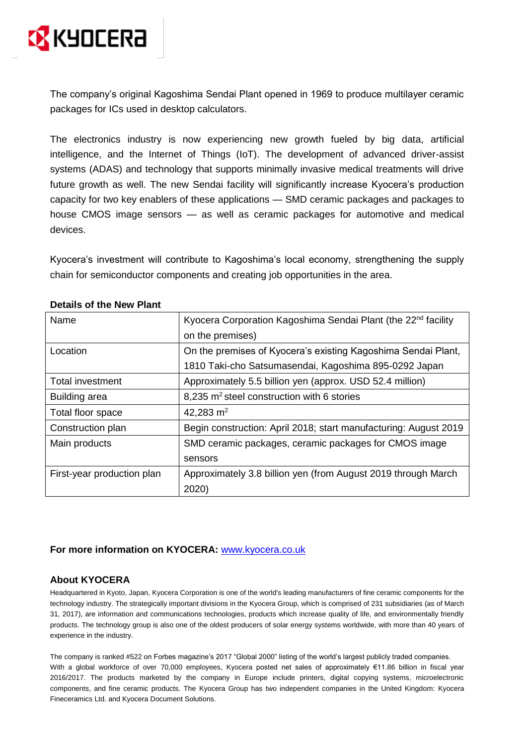

The company's original Kagoshima Sendai Plant opened in 1969 to produce multilayer ceramic packages for ICs used in desktop calculators.

The electronics industry is now experiencing new growth fueled by big data, artificial intelligence, and the Internet of Things (IoT). The development of advanced driver-assist systems (ADAS) and technology that supports minimally invasive medical treatments will drive future growth as well. The new Sendai facility will significantly increase Kyocera's production capacity for two key enablers of these applications — SMD ceramic packages and packages to house CMOS image sensors — as well as ceramic packages for automotive and medical devices.

Kyocera's investment will contribute to Kagoshima's local economy, strengthening the supply chain for semiconductor components and creating job opportunities in the area.

| Name                       | Kyocera Corporation Kagoshima Sendai Plant (the 22 <sup>nd</sup> facility |
|----------------------------|---------------------------------------------------------------------------|
|                            | on the premises)                                                          |
| Location                   | On the premises of Kyocera's existing Kagoshima Sendai Plant,             |
|                            | 1810 Taki-cho Satsumasendai, Kagoshima 895-0292 Japan                     |
| <b>Total investment</b>    | Approximately 5.5 billion yen (approx. USD 52.4 million)                  |
| Building area              | 8,235 m <sup>2</sup> steel construction with 6 stories                    |
| Total floor space          | 42,283 $m2$                                                               |
| Construction plan          | Begin construction: April 2018; start manufacturing: August 2019          |
| Main products              | SMD ceramic packages, ceramic packages for CMOS image                     |
|                            | sensors                                                                   |
| First-year production plan | Approximately 3.8 billion yen (from August 2019 through March             |
|                            | 2020)                                                                     |

#### **Details of the New Plant**

#### **For more information on KYOCERA:** [www.kyocera.co.uk](http://www.kyocera.co.uk/)

#### **About KYOCERA**

Headquartered in Kyoto, Japan, Kyocera Corporation is one of the world's leading manufacturers of fine ceramic components for the technology industry. The strategically important divisions in the Kyocera Group, which is comprised of 231 subsidiaries (as of March 31, 2017), are information and communications technologies, products which increase quality of life, and environmentally friendly products. The technology group is also one of the oldest producers of solar energy systems worldwide, with more than 40 years of experience in the industry.

The company is ranked #522 on Forbes magazine's 2017 "Global 2000" listing of the world's largest publicly traded companies. With a global workforce of over 70,000 employees, Kyocera posted net sales of approximately €11.86 billion in fiscal year 2016/2017. The products marketed by the company in Europe include printers, digital copying systems, microelectronic components, and fine ceramic products. The Kyocera Group has two independent companies in the United Kingdom: Kyocera Fineceramics Ltd. and Kyocera Document Solutions.